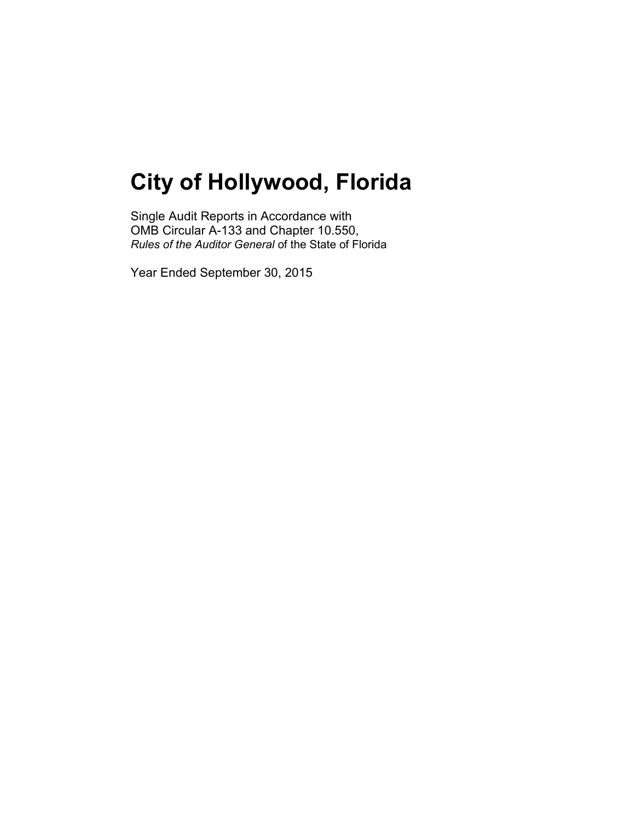Single Audit Reports in Accordance with OMB Circular A-133 and Chapter 10.550, *Rules of the Auditor General* of the State of Florida

Year Ended September 30, 2015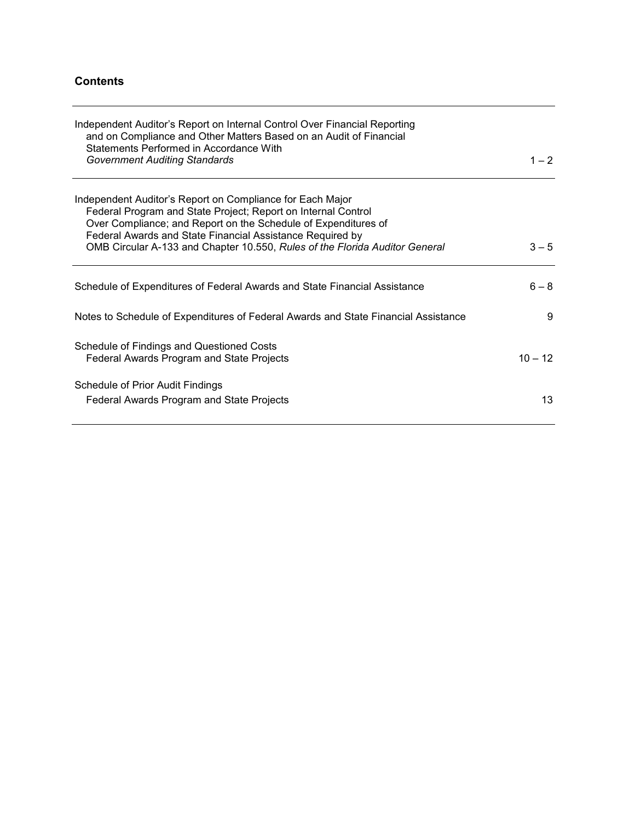# **Contents**

| Independent Auditor's Report on Internal Control Over Financial Reporting<br>and on Compliance and Other Matters Based on an Audit of Financial<br>Statements Performed in Accordance With<br>Government Auditing Standards                                                                                                              | $1 - 2$   |
|------------------------------------------------------------------------------------------------------------------------------------------------------------------------------------------------------------------------------------------------------------------------------------------------------------------------------------------|-----------|
| Independent Auditor's Report on Compliance for Each Major<br>Federal Program and State Project; Report on Internal Control<br>Over Compliance; and Report on the Schedule of Expenditures of<br>Federal Awards and State Financial Assistance Required by<br>OMB Circular A-133 and Chapter 10.550, Rules of the Florida Auditor General | $3 - 5$   |
| Schedule of Expenditures of Federal Awards and State Financial Assistance                                                                                                                                                                                                                                                                | $6 - 8$   |
| Notes to Schedule of Expenditures of Federal Awards and State Financial Assistance                                                                                                                                                                                                                                                       | 9         |
| Schedule of Findings and Questioned Costs<br>Federal Awards Program and State Projects                                                                                                                                                                                                                                                   | $10 - 12$ |
| Schedule of Prior Audit Findings<br>Federal Awards Program and State Projects                                                                                                                                                                                                                                                            | 13        |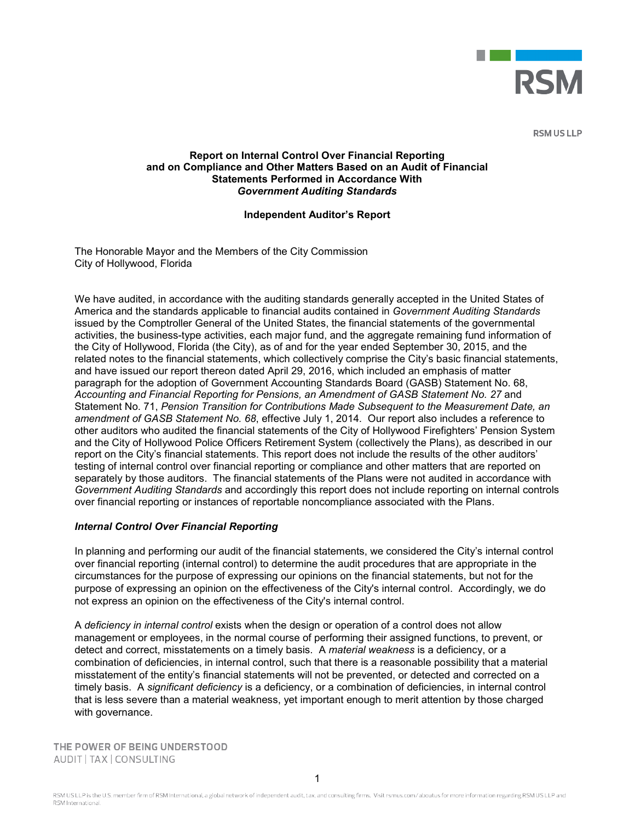

**RSM US LLP** 

# **Report on Internal Control Over Financial Reporting and on Compliance and Other Matters Based on an Audit of Financial Statements Performed in Accordance With** *Government Auditing Standards*

#### **Independent Auditor's Report**

The Honorable Mayor and the Members of the City Commission City of Hollywood, Florida

We have audited, in accordance with the auditing standards generally accepted in the United States of America and the standards applicable to financial audits contained in *Government Auditing Standards* issued by the Comptroller General of the United States, the financial statements of the governmental activities, the business-type activities, each major fund, and the aggregate remaining fund information of the City of Hollywood, Florida (the City), as of and for the year ended September 30, 2015, and the related notes to the financial statements, which collectively comprise the City's basic financial statements, and have issued our report thereon dated April 29, 2016, which included an emphasis of matter paragraph for the adoption of Government Accounting Standards Board (GASB) Statement No. 68, Accounting and Financial Reporting for Pensions, an Amendment of GASB Statement No. 27 and Statement No. 71, *Pension Transition for Contributions Made Subsequent to the Measurement Date, an amendment of GASB Statement No. 68*, effective July 1, 2014. Our report also includes a reference to other auditors who audited the financial statements of the City of Hollywood Firefighters' Pension System and the City of Hollywood Police Officers Retirement System (collectively the Plans), as described in our report on the City's financial statements. This report does not include the results of the other auditors' testing of internal control over financial reporting or compliance and other matters that are reported on separately by those auditors. The financial statements of the Plans were not audited in accordance with *Government Auditing Standards* and accordingly this report does not include reporting on internal controls over financial reporting or instances of reportable noncompliance associated with the Plans.

#### *Internal Control Over Financial Reporting*

In planning and performing our audit of the financial statements, we considered the City's internal control over financial reporting (internal control) to determine the audit procedures that are appropriate in the circumstances for the purpose of expressing our opinions on the financial statements, but not for the purpose of expressing an opinion on the effectiveness of the City's internal control. Accordingly, we do not express an opinion on the effectiveness of the City's internal control.

A *deficiency in internal control* exists when the design or operation of a control does not allow management or employees, in the normal course of performing their assigned functions, to prevent, or detect and correct, misstatements on a timely basis. A *material weakness* is a deficiency, or a combination of deficiencies, in internal control, such that there is a reasonable possibility that a material misstatement of the entity's financial statements will not be prevented, or detected and corrected on a timely basis. A *significant deficiency* is a deficiency, or a combination of deficiencies, in internal control that is less severe than a material weakness, yet important enough to merit attention by those charged with governance.

THE POWER OF BEING UNDERSTOOD AUDIT | TAX | CONSULTING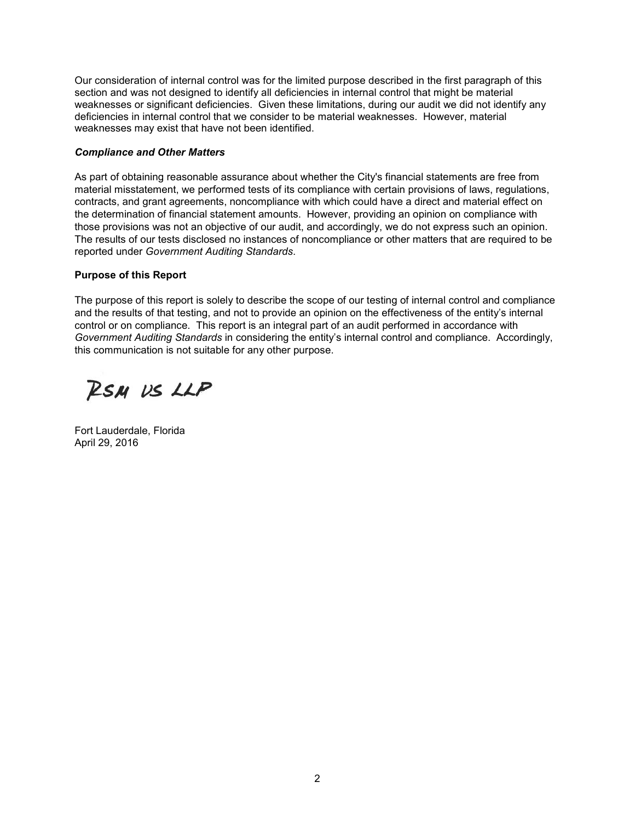Our consideration of internal control was for the limited purpose described in the first paragraph of this section and was not designed to identify all deficiencies in internal control that might be material weaknesses or significant deficiencies. Given these limitations, during our audit we did not identify any deficiencies in internal control that we consider to be material weaknesses. However, material weaknesses may exist that have not been identified.

# *Compliance and Other Matters*

As part of obtaining reasonable assurance about whether the City's financial statements are free from material misstatement, we performed tests of its compliance with certain provisions of laws, regulations, contracts, and grant agreements, noncompliance with which could have a direct and material effect on the determination of financial statement amounts. However, providing an opinion on compliance with those provisions was not an objective of our audit, and accordingly, we do not express such an opinion. The results of our tests disclosed no instances of noncompliance or other matters that are required to be reported under *Government Auditing Standards*.

# **Purpose of this Report**

The purpose of this report is solely to describe the scope of our testing of internal control and compliance and the results of that testing, and not to provide an opinion on the effectiveness of the entity's internal control or on compliance. This report is an integral part of an audit performed in accordance with *Government Auditing Standards* in considering the entity's internal control and compliance. Accordingly, this communication is not suitable for any other purpose.

RSM US LLP

Fort Lauderdale, Florida April 29, 2016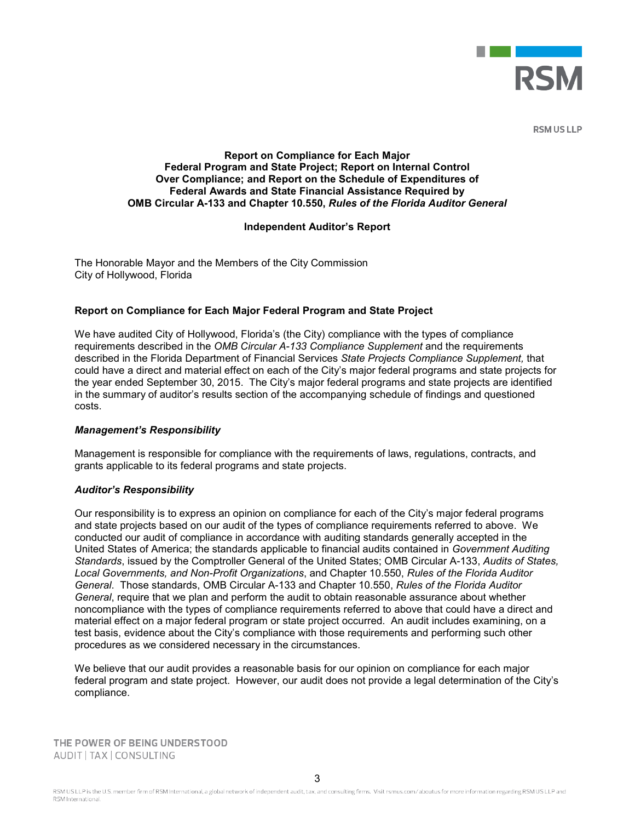

**RSM US LLP** 

#### **Report on Compliance for Each Major Federal Program and State Project; Report on Internal Control Over Compliance; and Report on the Schedule of Expenditures of Federal Awards and State Financial Assistance Required by OMB Circular A-133 and Chapter 10.550,** *Rules of the Florida Auditor General*

#### **Independent Auditor's Report**

The Honorable Mayor and the Members of the City Commission City of Hollywood, Florida

#### **Report on Compliance for Each Major Federal Program and State Project**

We have audited City of Hollywood, Florida's (the City) compliance with the types of compliance requirements described in the *OMB Circular A-133 Compliance Supplement* and the requirements described in the Florida Department of Financial Services *State Projects Compliance Supplement,* that could have a direct and material effect on each of the City's major federal programs and state projects for the year ended September 30, 2015. The City's major federal programs and state projects are identified in the summary of auditor's results section of the accompanying schedule of findings and questioned costs.

#### *Management's Responsibility*

Management is responsible for compliance with the requirements of laws, regulations, contracts, and grants applicable to its federal programs and state projects.

#### *Auditor's Responsibility*

Our responsibility is to express an opinion on compliance for each of the City's major federal programs and state projects based on our audit of the types of compliance requirements referred to above. We conducted our audit of compliance in accordance with auditing standards generally accepted in the United States of America; the standards applicable to financial audits contained in *Government Auditing Standards*, issued by the Comptroller General of the United States; OMB Circular A-133, *Audits of States, Local Governments, and Non-Profit Organizations*, and Chapter 10.550, *Rules of the Florida Auditor General*. Those standards, OMB Circular A-133 and Chapter 10.550, *Rules of the Florida Auditor General*, require that we plan and perform the audit to obtain reasonable assurance about whether noncompliance with the types of compliance requirements referred to above that could have a direct and material effect on a major federal program or state project occurred. An audit includes examining, on a test basis, evidence about the City's compliance with those requirements and performing such other procedures as we considered necessary in the circumstances.

We believe that our audit provides a reasonable basis for our opinion on compliance for each major federal program and state project. However, our audit does not provide a legal determination of the City's compliance.

THE POWER OF BEING UNDERSTOOD AUDIT | TAX | CONSULTING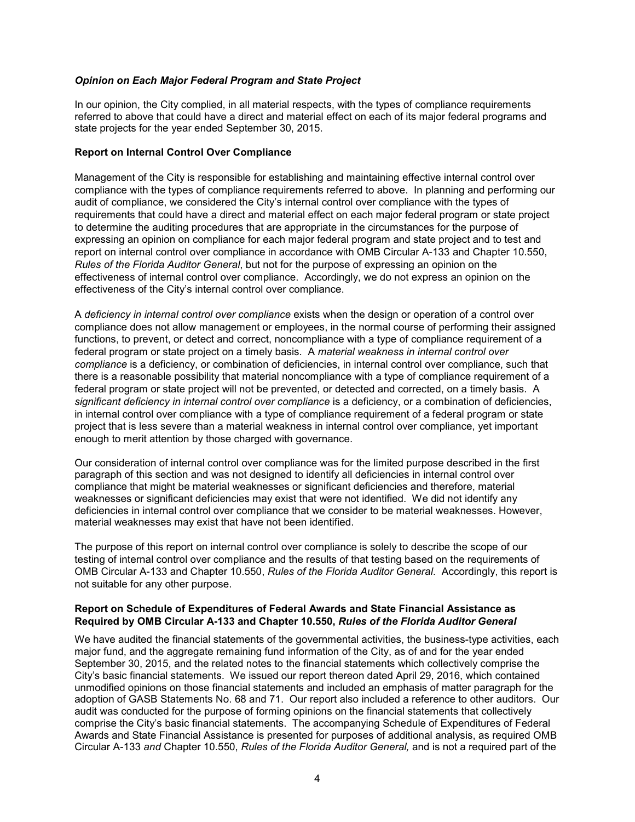# *Opinion on Each Major Federal Program and State Project*

In our opinion, the City complied, in all material respects, with the types of compliance requirements referred to above that could have a direct and material effect on each of its major federal programs and state projects for the year ended September 30, 2015.

# **Report on Internal Control Over Compliance**

Management of the City is responsible for establishing and maintaining effective internal control over compliance with the types of compliance requirements referred to above. In planning and performing our audit of compliance, we considered the City's internal control over compliance with the types of requirements that could have a direct and material effect on each major federal program or state project to determine the auditing procedures that are appropriate in the circumstances for the purpose of expressing an opinion on compliance for each major federal program and state project and to test and report on internal control over compliance in accordance with OMB Circular A-133 and Chapter 10.550, *Rules of the Florida Auditor General*, but not for the purpose of expressing an opinion on the effectiveness of internal control over compliance. Accordingly, we do not express an opinion on the effectiveness of the City's internal control over compliance.

A *deficiency in internal control over compliance* exists when the design or operation of a control over compliance does not allow management or employees, in the normal course of performing their assigned functions, to prevent, or detect and correct, noncompliance with a type of compliance requirement of a federal program or state project on a timely basis. A *material weakness in internal control over compliance* is a deficiency, or combination of deficiencies, in internal control over compliance, such that there is a reasonable possibility that material noncompliance with a type of compliance requirement of a federal program or state project will not be prevented, or detected and corrected, on a timely basis. A *significant deficiency in internal control over compliance* is a deficiency, or a combination of deficiencies, in internal control over compliance with a type of compliance requirement of a federal program or state project that is less severe than a material weakness in internal control over compliance, yet important enough to merit attention by those charged with governance.

Our consideration of internal control over compliance was for the limited purpose described in the first paragraph of this section and was not designed to identify all deficiencies in internal control over compliance that might be material weaknesses or significant deficiencies and therefore, material weaknesses or significant deficiencies may exist that were not identified. We did not identify any deficiencies in internal control over compliance that we consider to be material weaknesses. However, material weaknesses may exist that have not been identified.

The purpose of this report on internal control over compliance is solely to describe the scope of our testing of internal control over compliance and the results of that testing based on the requirements of OMB Circular A-133 and Chapter 10.550, *Rules of the Florida Auditor General*. Accordingly, this report is not suitable for any other purpose.

# **Report on Schedule of Expenditures of Federal Awards and State Financial Assistance as Required by OMB Circular A-133 and Chapter 10.550,** *Rules of the Florida Auditor General*

We have audited the financial statements of the governmental activities, the business-type activities, each major fund, and the aggregate remaining fund information of the City, as of and for the year ended September 30, 2015, and the related notes to the financial statements which collectively comprise the City's basic financial statements. We issued our report thereon dated April 29, 2016, which contained unmodified opinions on those financial statements and included an emphasis of matter paragraph for the adoption of GASB Statements No. 68 and 71. Our report also included a reference to other auditors. Our audit was conducted for the purpose of forming opinions on the financial statements that collectively comprise the City's basic financial statements. The accompanying Schedule of Expenditures of Federal Awards and State Financial Assistance is presented for purposes of additional analysis, as required OMB Circular A-133 *and* Chapter 10.550, *Rules of the Florida Auditor General,* and is not a required part of the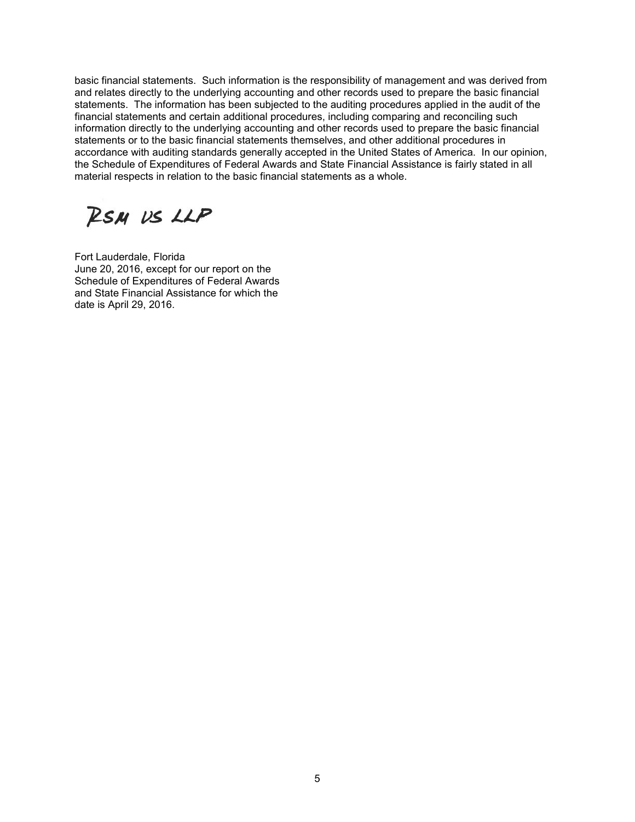basic financial statements. Such information is the responsibility of management and was derived from and relates directly to the underlying accounting and other records used to prepare the basic financial statements. The information has been subjected to the auditing procedures applied in the audit of the financial statements and certain additional procedures, including comparing and reconciling such information directly to the underlying accounting and other records used to prepare the basic financial statements or to the basic financial statements themselves, and other additional procedures in accordance with auditing standards generally accepted in the United States of America. In our opinion, the Schedule of Expenditures of Federal Awards and State Financial Assistance is fairly stated in all material respects in relation to the basic financial statements as a whole.

RSM US LLP

Fort Lauderdale, Florida June 20, 2016, except for our report on the Schedule of Expenditures of Federal Awards and State Financial Assistance for which the date is April 29, 2016.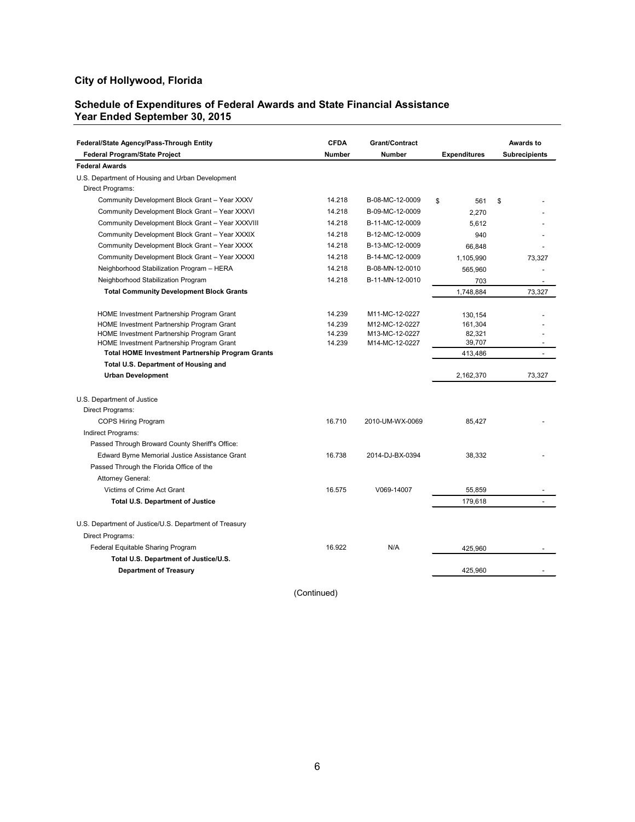#### **Schedule of Expenditures of Federal Awards and State Financial Assistance Year Ended September 30, 2015**

| Federal/State Agency/Pass-Through Entity                | <b>CFDA</b>   | <b>Grant/Contract</b> |                     | Awards to            |
|---------------------------------------------------------|---------------|-----------------------|---------------------|----------------------|
| <b>Federal Program/State Project</b>                    | <b>Number</b> | <b>Number</b>         | <b>Expenditures</b> | <b>Subrecipients</b> |
| <b>Federal Awards</b>                                   |               |                       |                     |                      |
| U.S. Department of Housing and Urban Development        |               |                       |                     |                      |
| Direct Programs:                                        |               |                       |                     |                      |
| Community Development Block Grant - Year XXXV           | 14.218        | B-08-MC-12-0009       | \$<br>561           | \$                   |
| Community Development Block Grant - Year XXXVI          | 14.218        | B-09-MC-12-0009       | 2,270               |                      |
| Community Development Block Grant - Year XXXVIII        | 14.218        | B-11-MC-12-0009       | 5,612               |                      |
| Community Development Block Grant - Year XXXIX          | 14.218        | B-12-MC-12-0009       | 940                 |                      |
| Community Development Block Grant - Year XXXX           | 14.218        | B-13-MC-12-0009       | 66,848              |                      |
| Community Development Block Grant - Year XXXXI          | 14.218        | B-14-MC-12-0009       | 1,105,990           | 73,327               |
| Neighborhood Stabilization Program - HERA               | 14.218        | B-08-MN-12-0010       | 565,960             |                      |
| Neighborhood Stabilization Program                      | 14.218        | B-11-MN-12-0010       | 703                 |                      |
| <b>Total Community Development Block Grants</b>         |               |                       | 1,748,884           | 73.327               |
|                                                         |               |                       |                     |                      |
| HOME Investment Partnership Program Grant               | 14.239        | M11-MC-12-0227        | 130,154             |                      |
| HOME Investment Partnership Program Grant               | 14.239        | M12-MC-12-0227        | 161,304             |                      |
| HOME Investment Partnership Program Grant               | 14.239        | M13-MC-12-0227        | 82,321              |                      |
| HOME Investment Partnership Program Grant               | 14.239        | M14-MC-12-0227        | 39,707              |                      |
| <b>Total HOME Investment Partnership Program Grants</b> |               |                       | 413,486             |                      |
| Total U.S. Department of Housing and                    |               |                       |                     |                      |
| <b>Urban Development</b>                                |               |                       | 2.162.370           | 73.327               |
| U.S. Department of Justice                              |               |                       |                     |                      |
| Direct Programs:                                        |               |                       |                     |                      |
| COPS Hiring Program                                     | 16.710        | 2010-UM-WX-0069       | 85,427              |                      |
| Indirect Programs:                                      |               |                       |                     |                      |
| Passed Through Broward County Sheriff's Office:         |               |                       |                     |                      |
| Edward Byrne Memorial Justice Assistance Grant          | 16.738        | 2014-DJ-BX-0394       | 38,332              |                      |
| Passed Through the Florida Office of the                |               |                       |                     |                      |
| <b>Attorney General:</b>                                |               |                       |                     |                      |
| Victims of Crime Act Grant                              | 16.575        | V069-14007            | 55,859              |                      |
|                                                         |               |                       | 179,618             |                      |
| Total U.S. Department of Justice                        |               |                       |                     |                      |
| U.S. Department of Justice/U.S. Department of Treasury  |               |                       |                     |                      |
| Direct Programs:                                        |               |                       |                     |                      |
| Federal Equitable Sharing Program                       | 16.922        | N/A                   | 425,960             |                      |
| Total U.S. Department of Justice/U.S.                   |               |                       |                     |                      |
| <b>Department of Treasury</b>                           |               |                       | 425,960             |                      |
|                                                         |               |                       |                     |                      |

(Continued)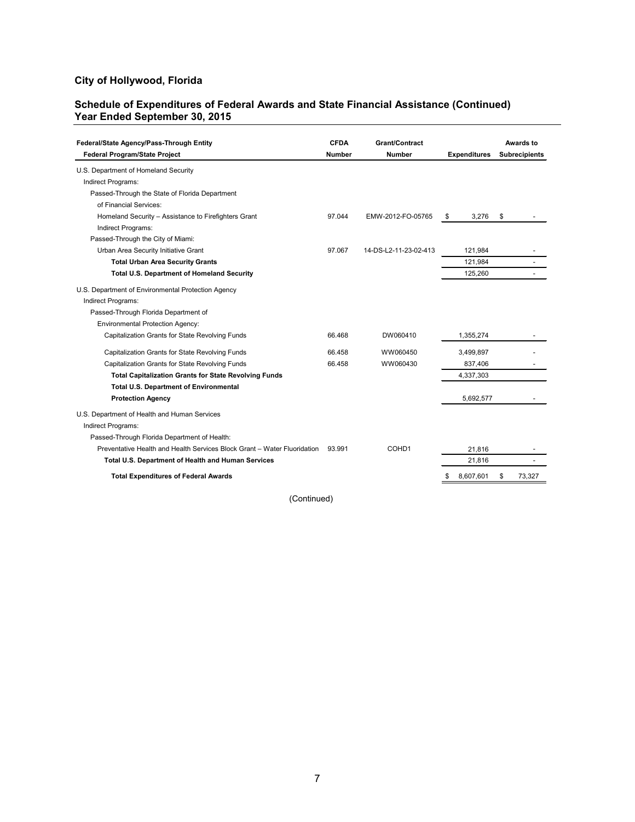#### **Schedule of Expenditures of Federal Awards and State Financial Assistance (Continued) Year Ended September 30, 2015**

| Federal/State Agency/Pass-Through Entity<br><b>Federal Program/State Project</b>                                                                                                                                                                                                                                     | <b>Grant/Contract</b><br><b>CFDA</b><br>Number<br><b>Number</b><br><b>Expenditures</b> |                                  | Awards to<br><b>Subrecipients</b> |              |
|----------------------------------------------------------------------------------------------------------------------------------------------------------------------------------------------------------------------------------------------------------------------------------------------------------------------|----------------------------------------------------------------------------------------|----------------------------------|-----------------------------------|--------------|
| U.S. Department of Homeland Security<br>Indirect Programs:<br>Passed-Through the State of Florida Department                                                                                                                                                                                                         |                                                                                        |                                  |                                   |              |
| of Financial Services:                                                                                                                                                                                                                                                                                               |                                                                                        |                                  |                                   |              |
| Homeland Security - Assistance to Firefighters Grant                                                                                                                                                                                                                                                                 | 97.044                                                                                 | EMW-2012-FO-05765                | 3,276<br>\$                       | \$           |
| Indirect Programs:                                                                                                                                                                                                                                                                                                   |                                                                                        |                                  |                                   |              |
| Passed-Through the City of Miami:                                                                                                                                                                                                                                                                                    |                                                                                        |                                  |                                   |              |
| Urban Area Security Initiative Grant                                                                                                                                                                                                                                                                                 | 97.067                                                                                 | 14-DS-L2-11-23-02-413            | 121.984                           |              |
| <b>Total Urban Area Security Grants</b>                                                                                                                                                                                                                                                                              |                                                                                        |                                  | 121,984                           |              |
| Total U.S. Department of Homeland Security                                                                                                                                                                                                                                                                           |                                                                                        |                                  | 125,260                           |              |
| U.S. Department of Environmental Protection Agency<br>Indirect Programs:<br>Passed-Through Florida Department of<br><b>Environmental Protection Agency:</b><br>Capitalization Grants for State Revolving Funds<br>Capitalization Grants for State Revolving Funds<br>Capitalization Grants for State Revolving Funds | 66.468<br>66.458<br>66.458                                                             | DW060410<br>WW060450<br>WW060430 | 1,355,274<br>3,499,897<br>837,406 |              |
| <b>Total Capitalization Grants for State Revolving Funds</b>                                                                                                                                                                                                                                                         |                                                                                        |                                  | 4,337,303                         |              |
| <b>Total U.S. Department of Environmental</b><br><b>Protection Agency</b>                                                                                                                                                                                                                                            |                                                                                        |                                  | 5,692,577                         |              |
| U.S. Department of Health and Human Services<br>Indirect Programs:<br>Passed-Through Florida Department of Health:                                                                                                                                                                                                   |                                                                                        |                                  |                                   |              |
| Preventative Health and Health Services Block Grant - Water Fluoridation                                                                                                                                                                                                                                             | 93.991                                                                                 | COHD <sub>1</sub>                | 21.816                            |              |
| Total U.S. Department of Health and Human Services                                                                                                                                                                                                                                                                   |                                                                                        |                                  | 21.816                            |              |
| <b>Total Expenditures of Federal Awards</b>                                                                                                                                                                                                                                                                          |                                                                                        |                                  | 8,607,601                         | 73,327<br>\$ |

(Continued)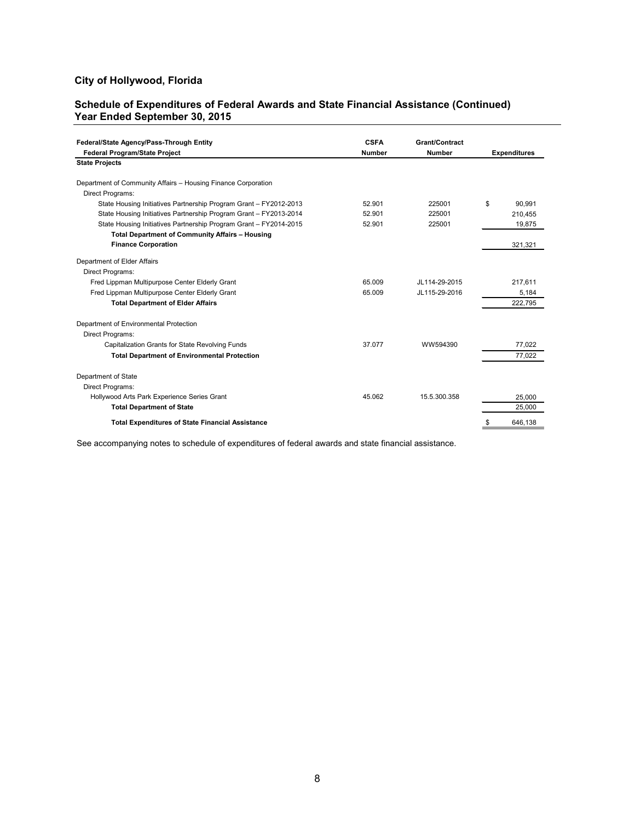#### **Schedule of Expenditures of Federal Awards and State Financial Assistance (Continued) Year Ended September 30, 2015**

| Federal/State Agency/Pass-Through Entity                          | <b>CSFA</b>   | <b>Grant/Contract</b> |   |                     |
|-------------------------------------------------------------------|---------------|-----------------------|---|---------------------|
| <b>Federal Program/State Project</b>                              | <b>Number</b> | <b>Number</b>         |   | <b>Expenditures</b> |
| <b>State Projects</b>                                             |               |                       |   |                     |
| Department of Community Affairs - Housing Finance Corporation     |               |                       |   |                     |
| Direct Programs:                                                  |               |                       |   |                     |
| State Housing Initiatives Partnership Program Grant - FY2012-2013 | 52.901        | 225001                | S | 90.991              |
| State Housing Initiatives Partnership Program Grant - FY2013-2014 | 52.901        | 225001                |   | 210.455             |
| State Housing Initiatives Partnership Program Grant - FY2014-2015 | 52.901        | 225001                |   | 19,875              |
| <b>Total Department of Community Affairs - Housing</b>            |               |                       |   |                     |
| <b>Finance Corporation</b>                                        |               |                       |   | 321,321             |
| Department of Elder Affairs                                       |               |                       |   |                     |
| Direct Programs:                                                  |               |                       |   |                     |
| Fred Lippman Multipurpose Center Elderly Grant                    | 65.009        | JL114-29-2015         |   | 217.611             |
| Fred Lippman Multipurpose Center Elderly Grant                    | 65.009        | JL115-29-2016         |   | 5,184               |
| <b>Total Department of Elder Affairs</b>                          |               |                       |   | 222.795             |
| Department of Environmental Protection                            |               |                       |   |                     |
| Direct Programs:                                                  |               |                       |   |                     |
| Capitalization Grants for State Revolving Funds                   | 37.077        | WW594390              |   | 77,022              |
| <b>Total Department of Environmental Protection</b>               |               |                       |   | 77,022              |
| Department of State                                               |               |                       |   |                     |
| Direct Programs:                                                  |               |                       |   |                     |
| Hollywood Arts Park Experience Series Grant                       | 45.062        | 15.5.300.358          |   | 25,000              |
| <b>Total Department of State</b>                                  |               |                       |   | 25,000              |
| <b>Total Expenditures of State Financial Assistance</b>           |               |                       |   | 646,138             |

See accompanying notes to schedule of expenditures of federal awards and state financial assistance.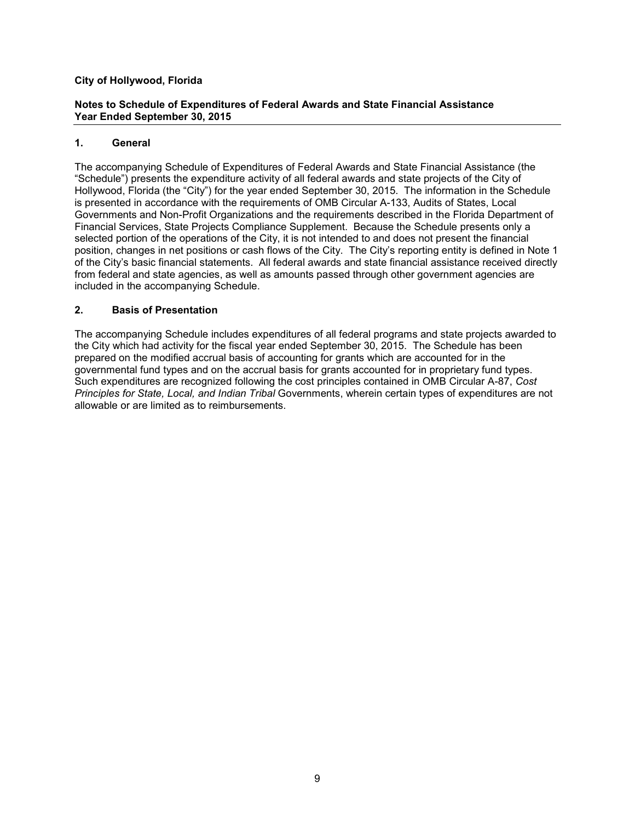#### **Notes to Schedule of Expenditures of Federal Awards and State Financial Assistance Year Ended September 30, 2015**

#### **1. General**

The accompanying Schedule of Expenditures of Federal Awards and State Financial Assistance (the "Schedule") presents the expenditure activity of all federal awards and state projects of the City of Hollywood, Florida (the "City") for the year ended September 30, 2015. The information in the Schedule is presented in accordance with the requirements of OMB Circular A-133, Audits of States, Local Governments and Non-Profit Organizations and the requirements described in the Florida Department of Financial Services, State Projects Compliance Supplement. Because the Schedule presents only a selected portion of the operations of the City, it is not intended to and does not present the financial position, changes in net positions or cash flows of the City. The City's reporting entity is defined in Note 1 of the City's basic financial statements. All federal awards and state financial assistance received directly from federal and state agencies, as well as amounts passed through other government agencies are included in the accompanying Schedule.

#### **2. Basis of Presentation**

The accompanying Schedule includes expenditures of all federal programs and state projects awarded to the City which had activity for the fiscal year ended September 30, 2015. The Schedule has been prepared on the modified accrual basis of accounting for grants which are accounted for in the governmental fund types and on the accrual basis for grants accounted for in proprietary fund types. Such expenditures are recognized following the cost principles contained in OMB Circular A-87, *Cost Principles for State, Local, and Indian Tribal* Governments, wherein certain types of expenditures are not allowable or are limited as to reimbursements.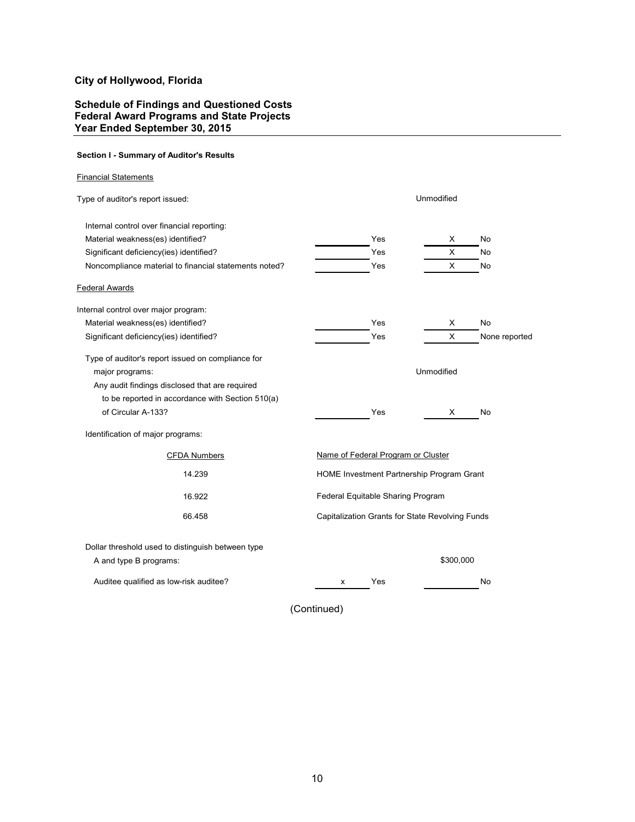#### **Schedule of Findings and Questioned Costs Federal Award Programs and State Projects Year Ended September 30, 2015**

#### **Section I - Summary of Auditor's Results**

#### Financial Statements

| Type of auditor's report issued:                      | Unmodified                                      |                    |  |
|-------------------------------------------------------|-------------------------------------------------|--------------------|--|
| Internal control over financial reporting:            |                                                 |                    |  |
| Material weakness(es) identified?                     | Yes                                             | No<br>X            |  |
| Significant deficiency(ies) identified?               | Yes                                             | X<br>No            |  |
| Noncompliance material to financial statements noted? | Yes                                             | X<br>No            |  |
| <b>Federal Awards</b>                                 |                                                 |                    |  |
| Internal control over major program:                  |                                                 |                    |  |
| Material weakness(es) identified?                     | Yes                                             | <b>No</b><br>X     |  |
| Significant deficiency(ies) identified?               | Yes                                             | X<br>None reported |  |
| Type of auditor's report issued on compliance for     |                                                 |                    |  |
| major programs:                                       | Unmodified                                      |                    |  |
| Any audit findings disclosed that are required        |                                                 |                    |  |
| to be reported in accordance with Section 510(a)      |                                                 |                    |  |
| of Circular A-133?                                    | Yes                                             | X<br>No            |  |
| Identification of major programs:                     |                                                 |                    |  |
| <b>CFDA Numbers</b>                                   | Name of Federal Program or Cluster              |                    |  |
| 14.239                                                | HOME Investment Partnership Program Grant       |                    |  |
| 16.922                                                | Federal Equitable Sharing Program               |                    |  |
| 66.458                                                | Capitalization Grants for State Revolving Funds |                    |  |
| Dollar threshold used to distinguish between type     |                                                 |                    |  |
| A and type B programs:                                |                                                 | \$300,000          |  |
| Auditee qualified as low-risk auditee?                | Yes<br>x                                        | No                 |  |

(Continued)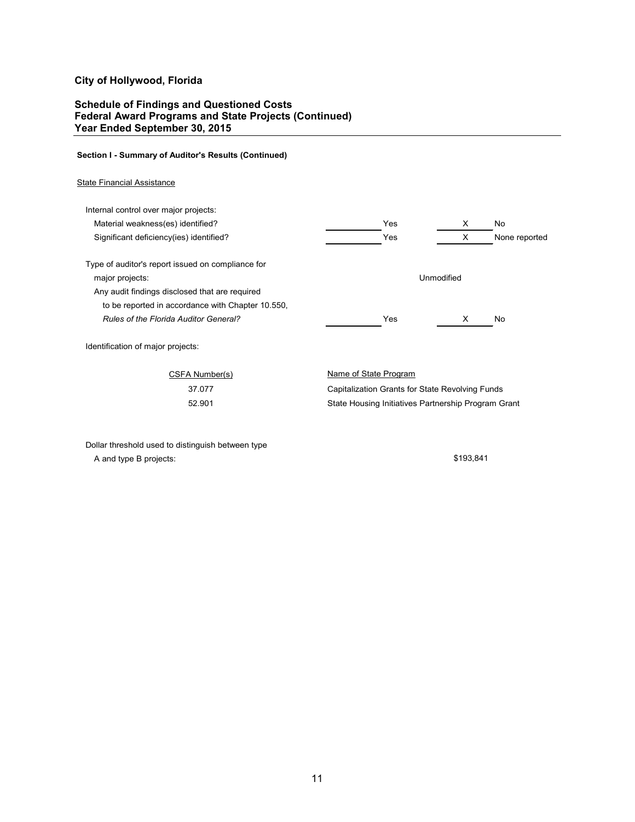# **Schedule of Findings and Questioned Costs Federal Award Programs and State Projects (Continued) Year Ended September 30, 2015**

#### **Section I - Summary of Auditor's Results (Continued)**

#### **State Financial Assistance**

| Internal control over major projects:             |                                                     |   |               |  |
|---------------------------------------------------|-----------------------------------------------------|---|---------------|--|
| Material weakness(es) identified?                 | Yes                                                 | X | No            |  |
| Significant deficiency (ies) identified?          | Yes                                                 | X | None reported |  |
| Type of auditor's report issued on compliance for |                                                     |   |               |  |
| major projects:                                   | Unmodified                                          |   |               |  |
| Any audit findings disclosed that are required    |                                                     |   |               |  |
| to be reported in accordance with Chapter 10.550, |                                                     |   |               |  |
| <b>Rules of the Florida Auditor General?</b>      | Yes                                                 | X | No            |  |
| Identification of major projects:                 |                                                     |   |               |  |
| CSFA Number(s)                                    | Name of State Program                               |   |               |  |
| 37.077                                            | Capitalization Grants for State Revolving Funds     |   |               |  |
| 52.901                                            | State Housing Initiatives Partnership Program Grant |   |               |  |
|                                                   |                                                     |   |               |  |
| Dollar threshold used to distinguish between type |                                                     |   |               |  |

A and type B projects: \$193,841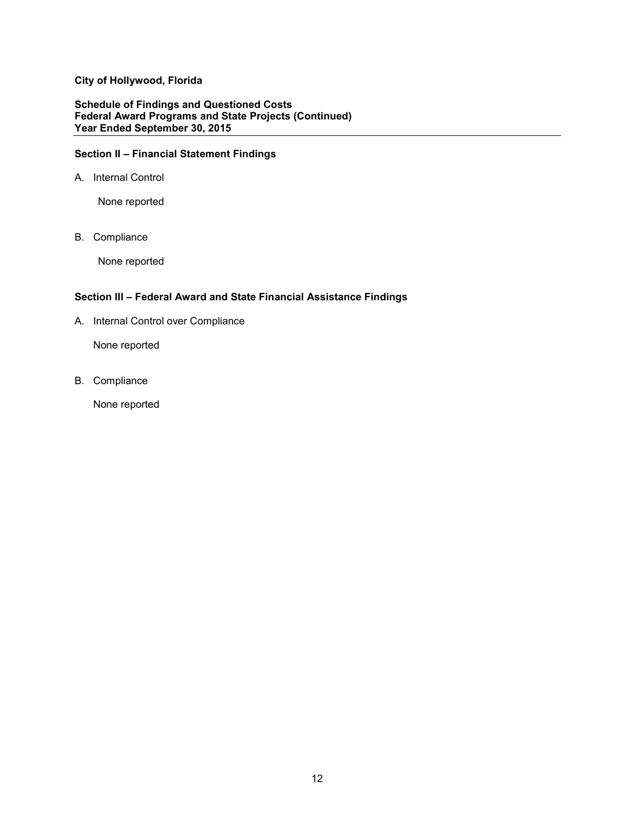**Schedule of Findings and Questioned Costs Federal Award Programs and State Projects (Continued) Year Ended September 30, 2015**

# **Section II – Financial Statement Findings**

A. Internal Control

None reported

B. Compliance

None reported

# **Section III – Federal Award and State Financial Assistance Findings**

A. Internal Control over Compliance

None reported

B. Compliance

None reported